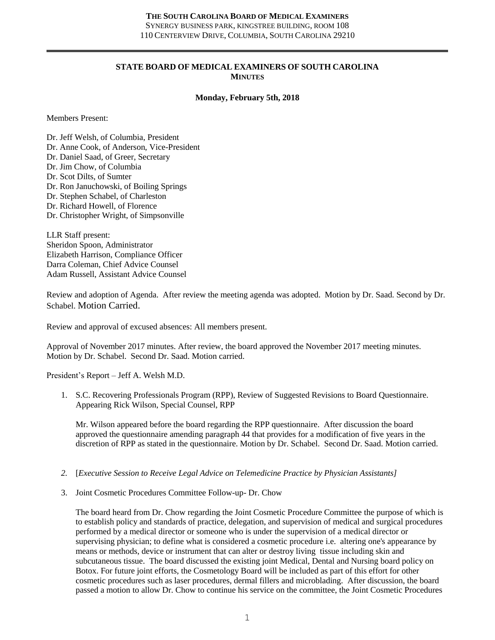#### **STATE BOARD OF MEDICAL EXAMINERS OF SOUTH CAROLINA MINUTES**

#### **Monday, February 5th, 2018**

Members Present:

Dr. Jeff Welsh, of Columbia, President Dr. Anne Cook, of Anderson, Vice-President Dr. Daniel Saad, of Greer, Secretary Dr. Jim Chow, of Columbia Dr. Scot Dilts, of Sumter Dr. Ron Januchowski, of Boiling Springs Dr. Stephen Schabel, of Charleston Dr. Richard Howell, of Florence Dr. Christopher Wright, of Simpsonville

LLR Staff present: Sheridon Spoon, Administrator Elizabeth Harrison, Compliance Officer Darra Coleman, Chief Advice Counsel Adam Russell, Assistant Advice Counsel

Review and adoption of Agenda. After review the meeting agenda was adopted. Motion by Dr. Saad. Second by Dr. Schabel. Motion Carried.

Review and approval of excused absences: All members present.

Approval of November 2017 minutes. After review, the board approved the November 2017 meeting minutes. Motion by Dr. Schabel. Second Dr. Saad. Motion carried.

President's Report – Jeff A. Welsh M.D.

1. S.C. Recovering Professionals Program (RPP), Review of Suggested Revisions to Board Questionnaire. Appearing Rick Wilson, Special Counsel, RPP

Mr. Wilson appeared before the board regarding the RPP questionnaire. After discussion the board approved the questionnaire amending paragraph 44 that provides for a modification of five years in the discretion of RPP as stated in the questionnaire. Motion by Dr. Schabel. Second Dr. Saad. Motion carried.

- *2.* [*Executive Session to Receive Legal Advice on Telemedicine Practice by Physician Assistants]*
- 3. Joint Cosmetic Procedures Committee Follow-up- Dr. Chow

The board heard from Dr. Chow regarding the Joint Cosmetic Procedure Committee the purpose of which is to establish policy and standards of practice, delegation, and supervision of medical and surgical procedures performed by a medical director or someone who is under the supervision of a medical director or supervising physician; to define what is considered a cosmetic procedure i.e. altering one's appearance by means or methods, device or instrument that can alter or destroy living tissue including skin and subcutaneous tissue. The board discussed the existing joint Medical, Dental and Nursing board policy on Botox. For future joint efforts, the Cosmetology Board will be included as part of this effort for other cosmetic procedures such as laser procedures, dermal fillers and microblading. After discussion, the board passed a motion to allow Dr. Chow to continue his service on the committee, the Joint Cosmetic Procedures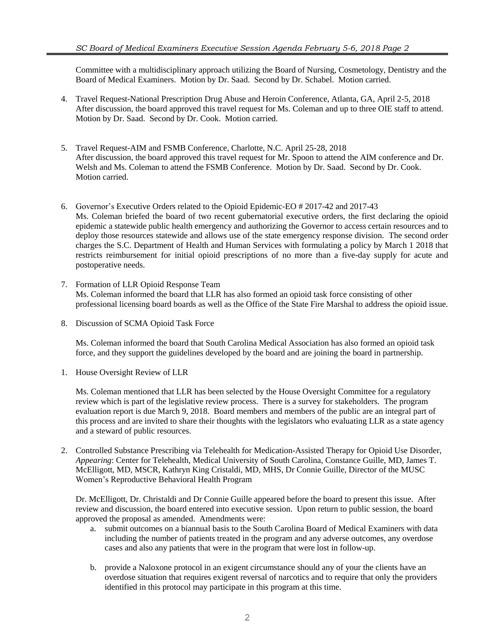Committee with a multidisciplinary approach utilizing the Board of Nursing, Cosmetology, Dentistry and the Board of Medical Examiners. Motion by Dr. Saad. Second by Dr. Schabel. Motion carried.

- 4. Travel Request-National Prescription Drug Abuse and Heroin Conference, Atlanta, GA, April 2-5, 2018 After discussion, the board approved this travel request for Ms. Coleman and up to three OIE staff to attend. Motion by Dr. Saad. Second by Dr. Cook. Motion carried.
- 5. Travel Request-AIM and FSMB Conference, Charlotte, N.C. April 25-28, 2018 After discussion, the board approved this travel request for Mr. Spoon to attend the AIM conference and Dr. Welsh and Ms. Coleman to attend the FSMB Conference. Motion by Dr. Saad. Second by Dr. Cook. Motion carried.
- 6. Governor's Executive Orders related to the Opioid Epidemic-EO # 2017-42 and 2017-43 Ms. Coleman briefed the board of two recent gubernatorial executive orders, the first declaring the opioid epidemic a statewide public health emergency and authorizing the Governor to access certain resources and to deploy those resources statewide and allows use of the state emergency response division. The second order charges the S.C. Department of Health and Human Services with formulating a policy by March 1 2018 that restricts reimbursement for initial opioid prescriptions of no more than a five-day supply for acute and postoperative needs.
- 7. Formation of LLR Opioid Response Team Ms. Coleman informed the board that LLR has also formed an opioid task force consisting of other professional licensing board boards as well as the Office of the State Fire Marshal to address the opioid issue.
- 8. Discussion of SCMA Opioid Task Force

Ms. Coleman informed the board that South Carolina Medical Association has also formed an opioid task force, and they support the guidelines developed by the board and are joining the board in partnership.

1. House Oversight Review of LLR

Ms. Coleman mentioned that LLR has been selected by the House Oversight Committee for a regulatory review which is part of the legislative review process. There is a survey for stakeholders. The program evaluation report is due March 9, 2018. Board members and members of the public are an integral part of this process and are invited to share their thoughts with the legislators who evaluating LLR as a state agency and a steward of public resources.

2. Controlled Substance Prescribing via Telehealth for Medication-Assisted Therapy for Opioid Use Disorder, *Appearing*: Center for Telehealth, Medical University of South Carolina, Constance Guille, MD, James T. McElligott, MD, MSCR, Kathryn King Cristaldi, MD, MHS, Dr Connie Guille, Director of the MUSC Women's Reproductive Behavioral Health Program

Dr. McElligott, Dr. Christaldi and Dr Connie Guille appeared before the board to present this issue. After review and discussion, the board entered into executive session. Upon return to public session, the board approved the proposal as amended. Amendments were:

- a. submit outcomes on a biannual basis to the South Carolina Board of Medical Examiners with data including the number of patients treated in the program and any adverse outcomes, any overdose cases and also any patients that were in the program that were lost in follow-up.
- b. provide a Naloxone protocol in an exigent circumstance should any of your the clients have an overdose situation that requires exigent reversal of narcotics and to require that only the providers identified in this protocol may participate in this program at this time.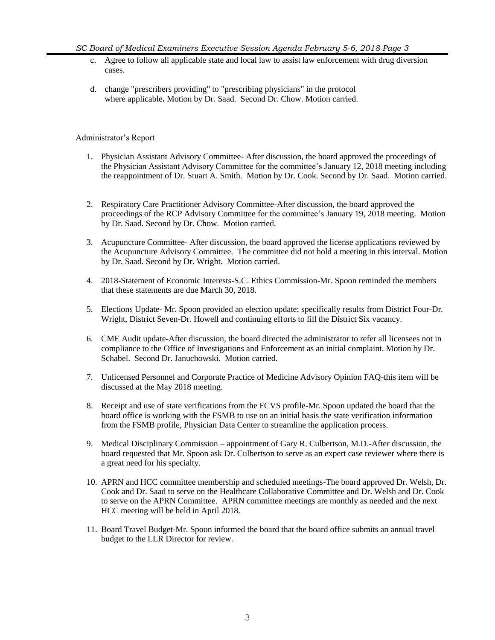- c. Agree to follow all applicable state and local law to assist law enforcement with drug diversion cases.
- d. change "prescribers providing" to "prescribing physicians" in the protocol where applicable**.** Motion by Dr. Saad. Second Dr. Chow. Motion carried.

#### Administrator's Report

- 1. Physician Assistant Advisory Committee- After discussion, the board approved the proceedings of the Physician Assistant Advisory Committee for the committee's January 12, 2018 meeting including the reappointment of Dr. Stuart A. Smith. Motion by Dr. Cook. Second by Dr. Saad. Motion carried.
- 2. Respiratory Care Practitioner Advisory Committee-After discussion, the board approved the proceedings of the RCP Advisory Committee for the committee's January 19, 2018 meeting. Motion by Dr. Saad. Second by Dr. Chow. Motion carried.
- 3. Acupuncture Committee- After discussion, the board approved the license applications reviewed by the Acupuncture Advisory Committee. The committee did not hold a meeting in this interval. Motion by Dr. Saad. Second by Dr. Wright. Motion carried.
- 4. 2018-Statement of Economic Interests-S.C. Ethics Commission-Mr. Spoon reminded the members that these statements are due March 30, 2018.
- 5. Elections Update- Mr. Spoon provided an election update; specifically results from District Four-Dr. Wright, District Seven-Dr. Howell and continuing efforts to fill the District Six vacancy.
- 6. CME Audit update-After discussion, the board directed the administrator to refer all licensees not in compliance to the Office of Investigations and Enforcement as an initial complaint. Motion by Dr. Schabel. Second Dr. Januchowski. Motion carried.
- 7. Unlicensed Personnel and Corporate Practice of Medicine Advisory Opinion FAQ-this item will be discussed at the May 2018 meeting.
- 8. Receipt and use of state verifications from the FCVS profile-Mr. Spoon updated the board that the board office is working with the FSMB to use on an initial basis the state verification information from the FSMB profile, Physician Data Center to streamline the application process.
- 9. Medical Disciplinary Commission appointment of Gary R. Culbertson, M.D.-After discussion, the board requested that Mr. Spoon ask Dr. Culbertson to serve as an expert case reviewer where there is a great need for his specialty.
- 10. APRN and HCC committee membership and scheduled meetings-The board approved Dr. Welsh, Dr. Cook and Dr. Saad to serve on the Healthcare Collaborative Committee and Dr. Welsh and Dr. Cook to serve on the APRN Committee. APRN committee meetings are monthly as needed and the next HCC meeting will be held in April 2018.
- 11. Board Travel Budget-Mr. Spoon informed the board that the board office submits an annual travel budget to the LLR Director for review.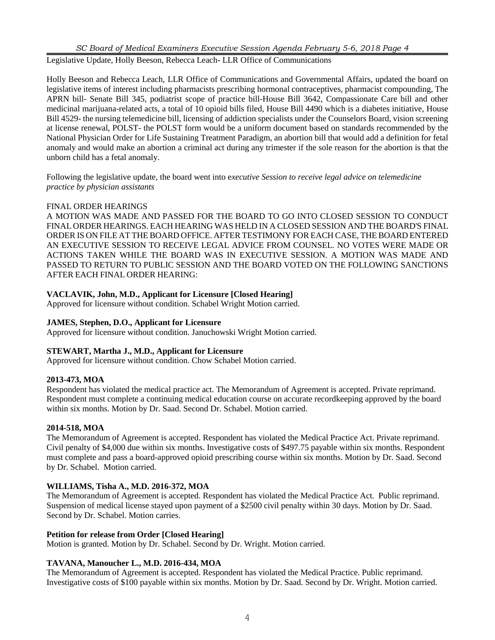*SC Board of Medical Examiners Executive Session Agenda February 5-6, 2018 Page 4*

Legislative Update, Holly Beeson, Rebecca Leach- LLR Office of Communications

Holly Beeson and Rebecca Leach, LLR Office of Communications and Governmental Affairs, updated the board on legislative items of interest including pharmacists prescribing hormonal contraceptives, pharmacist compounding, The APRN bill- Senate Bill 345, podiatrist scope of practice bill-House Bill 3642, Compassionate Care bill and other medicinal marijuana-related acts, a total of 10 opioid bills filed, House Bill 4490 which is a diabetes initiative, House Bill 4529- the nursing telemedicine bill, licensing of addiction specialists under the Counselors Board, vision screening at license renewal, POLST- the POLST form would be a uniform document based on standards recommended by the National Physician Order for Life Sustaining Treatment Paradigm, an abortion bill that would add a definition for fetal anomaly and would make an abortion a criminal act during any trimester if the sole reason for the abortion is that the unborn child has a fetal anomaly.

Following the legislative update, the board went into e*xecutive Session to receive legal advice on telemedicine practice by physician assistants*

## FINAL ORDER HEARINGS

A MOTION WAS MADE AND PASSED FOR THE BOARD TO GO INTO CLOSED SESSION TO CONDUCT FINAL ORDER HEARINGS. EACH HEARING WAS HELD IN A CLOSED SESSION AND THE BOARD'S FINAL ORDER IS ON FILE AT THE BOARD OFFICE. AFTER TESTIMONY FOREACH CASE, THE BOARD ENTERED AN EXECUTIVE SESSION TO RECEIVE LEGAL ADVICE FROM COUNSEL. NO VOTES WERE MADE OR ACTIONS TAKEN WHILE THE BOARD WAS IN EXECUTIVE SESSION. A MOTION WAS MADE AND PASSED TO RETURN TO PUBLIC SESSION AND THE BOARD VOTED ON THE FOLLOWING SANCTIONS AFTER EACH FINAL ORDER HEARING:

# **VACLAVIK, John, M.D., Applicant for Licensure [Closed Hearing]**

Approved for licensure without condition. Schabel Wright Motion carried.

## **JAMES, Stephen, D.O., Applicant for Licensure**

Approved for licensure without condition. Januchowski Wright Motion carried.

## **STEWART, Martha J., M.D., Applicant for Licensure**

Approved for licensure without condition. Chow Schabel Motion carried.

## **2013-473, MOA**

Respondent has violated the medical practice act. The Memorandum of Agreement is accepted. Private reprimand. Respondent must complete a continuing medical education course on accurate recordkeeping approved by the board within six months. Motion by Dr. Saad. Second Dr. Schabel. Motion carried.

## **2014-518, MOA**

The Memorandum of Agreement is accepted. Respondent has violated the Medical Practice Act. Private reprimand. Civil penalty of \$4,000 due within six months. Investigative costs of \$497.75 payable within six months. Respondent must complete and pass a board-approved opioid prescribing course within six months. Motion by Dr. Saad. Second by Dr. Schabel. Motion carried.

## **WILLIAMS, Tisha A., M.D. 2016-372, MOA**

The Memorandum of Agreement is accepted. Respondent has violated the Medical Practice Act. Public reprimand. Suspension of medical license stayed upon payment of a \$2500 civil penalty within 30 days. Motion by Dr. Saad. Second by Dr. Schabel. Motion carries.

## **Petition for release from Order [Closed Hearing]**

Motion is granted. Motion by Dr. Schabel. Second by Dr. Wright. Motion carried.

## **TAVANA, Manoucher L., M.D. 2016-434, MOA**

The Memorandum of Agreement is accepted. Respondent has violated the Medical Practice. Public reprimand. Investigative costs of \$100 payable within six months. Motion by Dr. Saad. Second by Dr. Wright. Motion carried.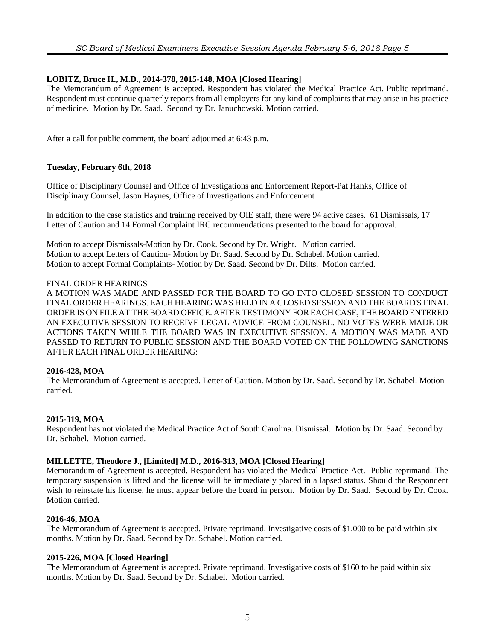## **LOBITZ, Bruce H., M.D., 2014-378, 2015-148, MOA [Closed Hearing]**

The Memorandum of Agreement is accepted. Respondent has violated the Medical Practice Act. Public reprimand. Respondent must continue quarterly reports from all employers for any kind of complaints that may arise in his practice of medicine. Motion by Dr. Saad. Second by Dr. Januchowski. Motion carried.

After a call for public comment, the board adjourned at 6:43 p.m.

#### **Tuesday, February 6th, 2018**

Office of Disciplinary Counsel and Office of Investigations and Enforcement Report-Pat Hanks, Office of Disciplinary Counsel, Jason Haynes, Office of Investigations and Enforcement

In addition to the case statistics and training received by OIE staff, there were 94 active cases. 61 Dismissals, 17 Letter of Caution and 14 Formal Complaint IRC recommendations presented to the board for approval.

Motion to accept Dismissals-Motion by Dr. Cook. Second by Dr. Wright. Motion carried. Motion to accept Letters of Caution- Motion by Dr. Saad. Second by Dr. Schabel. Motion carried. Motion to accept Formal Complaints- Motion by Dr. Saad. Second by Dr. Dilts. Motion carried.

#### FINAL ORDER HEARINGS

A MOTION WAS MADE AND PASSED FOR THE BOARD TO GO INTO CLOSED SESSION TO CONDUCT FINAL ORDER HEARINGS. EACH HEARING WAS HELD IN A CLOSED SESSION AND THE BOARD'S FINAL ORDER IS ON FILE AT THE BOARD OFFICE. AFTER TESTIMONY FOREACH CASE, THE BOARD ENTERED AN EXECUTIVE SESSION TO RECEIVE LEGAL ADVICE FROM COUNSEL. NO VOTES WERE MADE OR ACTIONS TAKEN WHILE THE BOARD WAS IN EXECUTIVE SESSION. A MOTION WAS MADE AND PASSED TO RETURN TO PUBLIC SESSION AND THE BOARD VOTED ON THE FOLLOWING SANCTIONS AFTER EACH FINAL ORDER HEARING:

## **2016-428, MOA**

The Memorandum of Agreement is accepted. Letter of Caution. Motion by Dr. Saad. Second by Dr. Schabel. Motion carried.

#### **2015-319, MOA**

Respondent has not violated the Medical Practice Act of South Carolina. Dismissal. Motion by Dr. Saad. Second by Dr. Schabel. Motion carried.

#### **MILLETTE, Theodore J., [Limited] M.D., 2016-313, MOA [Closed Hearing]**

Memorandum of Agreement is accepted. Respondent has violated the Medical Practice Act. Public reprimand. The temporary suspension is lifted and the license will be immediately placed in a lapsed status. Should the Respondent wish to reinstate his license, he must appear before the board in person. Motion by Dr. Saad. Second by Dr. Cook. Motion carried.

#### **2016-46, MOA**

The Memorandum of Agreement is accepted. Private reprimand. Investigative costs of \$1,000 to be paid within six months. Motion by Dr. Saad. Second by Dr. Schabel. Motion carried.

## **2015-226, MOA [Closed Hearing]**

The Memorandum of Agreement is accepted. Private reprimand. Investigative costs of \$160 to be paid within six months. Motion by Dr. Saad. Second by Dr. Schabel. Motion carried.